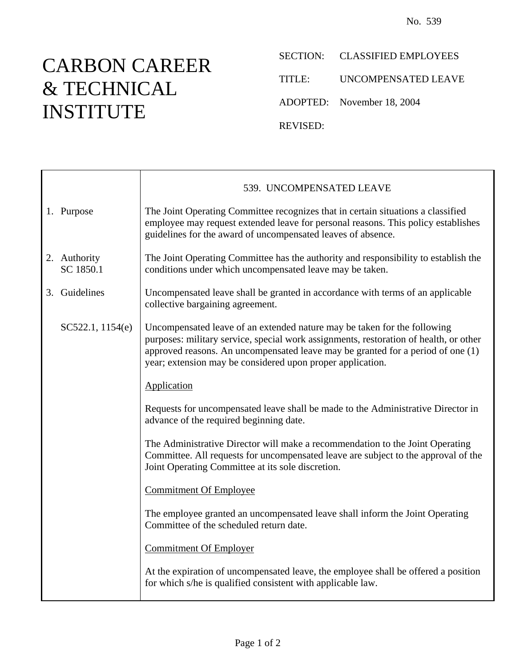## CARBON CAREER & TECHNICAL INSTITUTE

Ē

SECTION: CLASSIFIED EMPLOYEES

TITLE: UNCOMPENSATED LEAVE

ADOPTED: November 18, 2004

REVISED:

|                           | 539. UNCOMPENSATED LEAVE                                                                                                                                                                                                                                                                                           |
|---------------------------|--------------------------------------------------------------------------------------------------------------------------------------------------------------------------------------------------------------------------------------------------------------------------------------------------------------------|
| 1. Purpose                | The Joint Operating Committee recognizes that in certain situations a classified<br>employee may request extended leave for personal reasons. This policy establishes<br>guidelines for the award of uncompensated leaves of absence.                                                                              |
| 2. Authority<br>SC 1850.1 | The Joint Operating Committee has the authority and responsibility to establish the<br>conditions under which uncompensated leave may be taken.                                                                                                                                                                    |
| 3. Guidelines             | Uncompensated leave shall be granted in accordance with terms of an applicable<br>collective bargaining agreement.                                                                                                                                                                                                 |
| SC522.1, 1154(e)          | Uncompensated leave of an extended nature may be taken for the following<br>purposes: military service, special work assignments, restoration of health, or other<br>approved reasons. An uncompensated leave may be granted for a period of one (1)<br>year; extension may be considered upon proper application. |
|                           | Application                                                                                                                                                                                                                                                                                                        |
|                           | Requests for uncompensated leave shall be made to the Administrative Director in<br>advance of the required beginning date.                                                                                                                                                                                        |
|                           | The Administrative Director will make a recommendation to the Joint Operating<br>Committee. All requests for uncompensated leave are subject to the approval of the<br>Joint Operating Committee at its sole discretion.                                                                                           |
|                           | <b>Commitment Of Employee</b>                                                                                                                                                                                                                                                                                      |
|                           | The employee granted an uncompensated leave shall inform the Joint Operating<br>Committee of the scheduled return date.                                                                                                                                                                                            |
|                           | <b>Commitment Of Employer</b>                                                                                                                                                                                                                                                                                      |
|                           | At the expiration of uncompensated leave, the employee shall be offered a position<br>for which s/he is qualified consistent with applicable law.                                                                                                                                                                  |